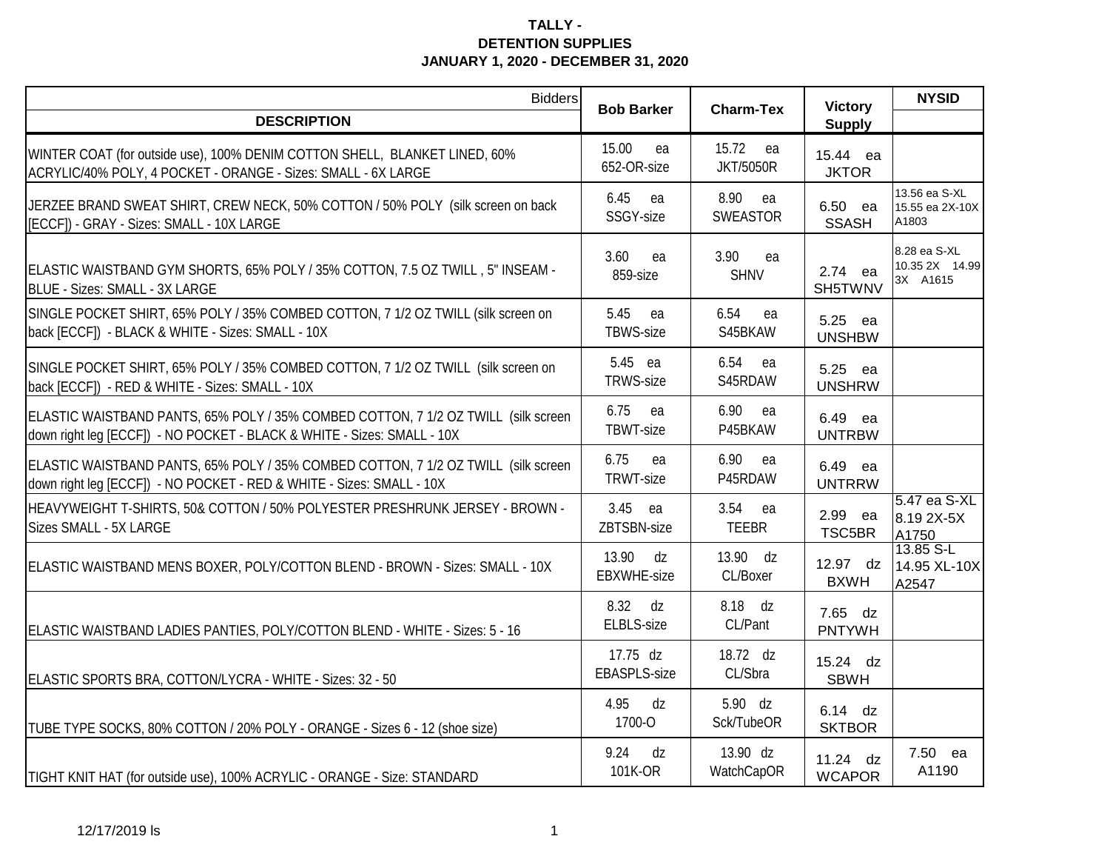| <b>Bidders</b>                                                                                                                                                | <b>Bob Barker</b>                 | <b>Charm-Tex</b>              | <b>Victory</b>              | <b>NYSID</b>                               |
|---------------------------------------------------------------------------------------------------------------------------------------------------------------|-----------------------------------|-------------------------------|-----------------------------|--------------------------------------------|
| <b>DESCRIPTION</b>                                                                                                                                            |                                   |                               | <b>Supply</b>               |                                            |
| WINTER COAT (for outside use), 100% DENIM COTTON SHELL, BLANKET LINED, 60%<br>ACRYLIC/40% POLY, 4 POCKET - ORANGE - Sizes: SMALL - 6X LARGE                   | 15.00<br>ea<br>652-OR-size        | 15.72 ea<br><b>JKT/5050R</b>  | 15.44 ea<br><b>JKTOR</b>    |                                            |
| JERZEE BRAND SWEAT SHIRT, CREW NECK, 50% COTTON / 50% POLY (silk screen on back<br>[ECCF]) - GRAY - Sizes: SMALL - 10X LARGE                                  | 6.45<br>ea<br>SSGY-size           | 8.90<br>ea<br><b>SWEASTOR</b> | 6.50 ea<br><b>SSASH</b>     | 13.56 ea S-XL<br>15.55 ea 2X-10X<br>A1803  |
| ELASTIC WAISTBAND GYM SHORTS, 65% POLY / 35% COTTON, 7.5 OZ TWILL, 5" INSEAM -<br>BLUE - Sizes: SMALL - 3X LARGE                                              | 3.60<br>ea<br>859-size            | 3.90<br>ea<br><b>SHNV</b>     | 2.74 ea<br>SH5TWNV          | 8.28 ea S-XL<br>10.35 2X 14.99<br>3X A1615 |
| SINGLE POCKET SHIRT, 65% POLY / 35% COMBED COTTON, 7 1/2 OZ TWILL (silk screen on<br>back [ECCF]) - BLACK & WHITE - Sizes: SMALL - 10X                        | 5.45<br>ea<br>TBWS-size           | 6.54<br>ea<br>S45BKAW         | 5.25 ea<br><b>UNSHBW</b>    |                                            |
| SINGLE POCKET SHIRT, 65% POLY / 35% COMBED COTTON, 7 1/2 OZ TWILL (silk screen on<br>back [ECCF]) - RED & WHITE - Sizes: SMALL - 10X                          | 5.45 ea<br>TRWS-size              | 6.54<br>ea<br>S45RDAW         | 5.25 ea<br><b>UNSHRW</b>    |                                            |
| ELASTIC WAISTBAND PANTS, 65% POLY / 35% COMBED COTTON, 7 1/2 OZ TWILL (silk screen<br>down right leg [ECCF]) - NO POCKET - BLACK & WHITE - Sizes: SMALL - 10X | 6.75<br>ea<br>TBWT-size           | 6.90<br>ea<br>P45BKAW         | 6.49 ea<br><b>UNTRBW</b>    |                                            |
| ELASTIC WAISTBAND PANTS, 65% POLY / 35% COMBED COTTON, 7 1/2 OZ TWILL (silk screen<br>down right leg [ECCF]) - NO POCKET - RED & WHITE - Sizes: SMALL - 10X   | 6.75<br>ea<br>TRWT-size           | 6.90<br>ea<br>P45RDAW         | 6.49<br>ea<br><b>UNTRRW</b> |                                            |
| HEAVYWEIGHT T-SHIRTS, 50& COTTON / 50% POLYESTER PRESHRUNK JERSEY - BROWN -<br>Sizes SMALL - 5X LARGE                                                         | 3.45 ea<br>ZBTSBN-size            | 3.54<br>ea<br><b>TEEBR</b>    | 2.99 ea<br>TSC5BR           | 5.47 ea S-XL<br>8.19 2X-5X<br>A1750        |
| ELASTIC WAISTBAND MENS BOXER, POLY/COTTON BLEND - BROWN - Sizes: SMALL - 10X                                                                                  | 13.90<br>dz<br><b>EBXWHE-size</b> | 13.90 dz<br>CL/Boxer          | 12.97 dz<br><b>BXWH</b>     | 13.85 S-L<br>14.95 XL-10X<br>A2547         |
| ELASTIC WAISTBAND LADIES PANTIES, POLY/COTTON BLEND - WHITE - Sizes: 5 - 16                                                                                   | 8.32<br>dz<br>ELBLS-size          | 8.18 dz<br>CL/Pant            | 7.65 dz<br><b>PNTYWH</b>    |                                            |
| ELASTIC SPORTS BRA, COTTON/LYCRA - WHITE - Sizes: 32 - 50                                                                                                     | 17.75 dz<br><b>EBASPLS-size</b>   | 18.72 dz<br>CL/Sbra           | 15.24 dz<br><b>SBWH</b>     |                                            |
| TUBE TYPE SOCKS, 80% COTTON / 20% POLY - ORANGE - Sizes 6 - 12 (shoe size)                                                                                    | 4.95<br>dz<br>1700-O              | 5.90 dz<br>Sck/TubeOR         | 6.14 dz<br><b>SKTBOR</b>    |                                            |
| TIGHT KNIT HAT (for outside use), 100% ACRYLIC - ORANGE - Size: STANDARD                                                                                      | 9.24<br>dz<br>101K-OR             | 13.90 dz<br>WatchCapOR        | 11.24 dz<br><b>WCAPOR</b>   | 7.50 ea<br>A1190                           |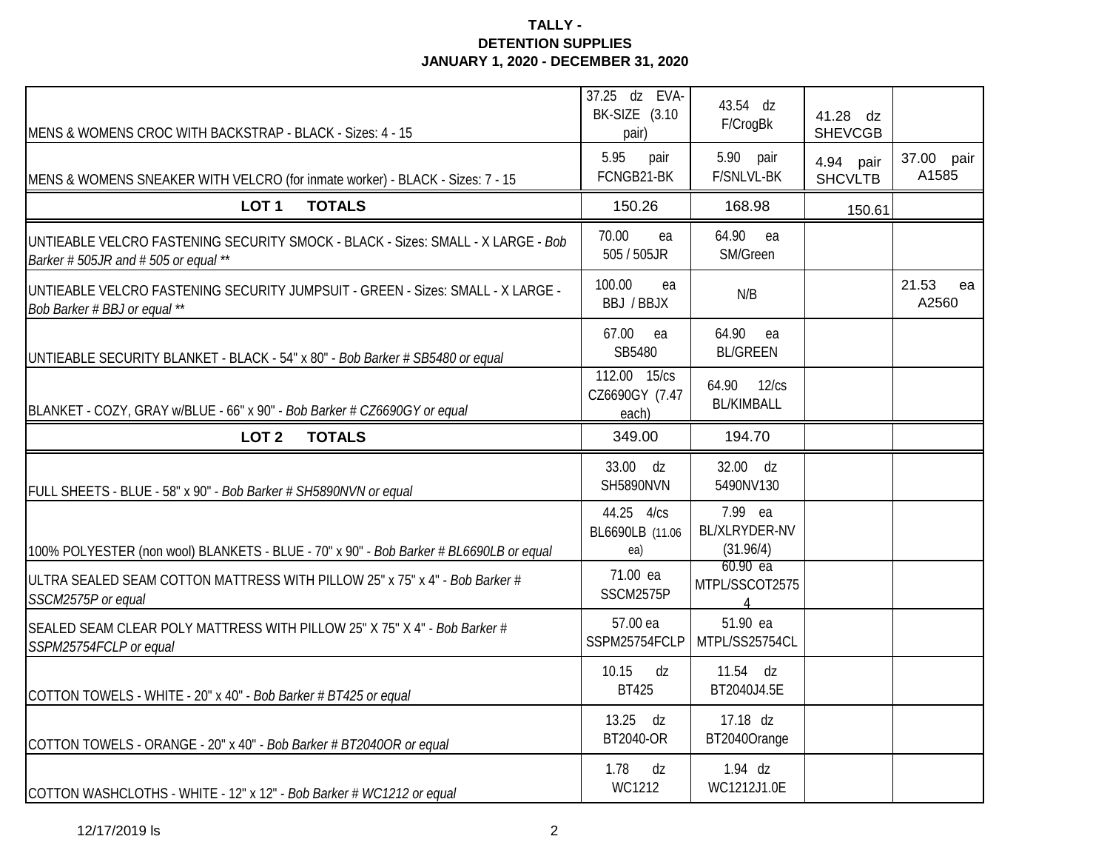| MENS & WOMENS CROC WITH BACKSTRAP - BLACK - Sizes: 4 - 15                                                              | 37.25 dz EVA-<br>BK-SIZE (3.10<br>pair) | 43.54 dz<br>F/CrogBk                         | 41.28 dz<br><b>SHEVCGB</b>  |                      |
|------------------------------------------------------------------------------------------------------------------------|-----------------------------------------|----------------------------------------------|-----------------------------|----------------------|
| MENS & WOMENS SNEAKER WITH VELCRO (for inmate worker) - BLACK - Sizes: 7 - 15                                          | 5.95<br>pair<br>FCNGB21-BK              | 5.90 pair<br>F/SNLVL-BK                      | 4.94 pair<br><b>SHCVLTB</b> | 37.00 pair<br>A1585  |
| <b>TOTALS</b><br>LOT <sub>1</sub>                                                                                      | 150.26                                  | 168.98                                       | 150.61                      |                      |
| UNTIEABLE VELCRO FASTENING SECURITY SMOCK - BLACK - Sizes: SMALL - X LARGE - Bob<br>Barker #505JR and #505 or equal ** | 70.00<br>ea<br>505 / 505JR              | 64.90<br>ea<br>SM/Green                      |                             |                      |
| UNTIEABLE VELCRO FASTENING SECURITY JUMPSUIT - GREEN - Sizes: SMALL - X LARGE -<br>Bob Barker # BBJ or equal **        | 100.00<br>ea<br>BBJ / BBJX              | N/B                                          |                             | 21.53<br>ea<br>A2560 |
| UNTIEABLE SECURITY BLANKET - BLACK - 54" x 80" - Bob Barker # SB5480 or equal                                          | 67.00<br>ea<br>SB5480                   | 64.90 ea<br><b>BL/GREEN</b>                  |                             |                      |
| BLANKET - COZY, GRAY w/BLUE - 66" x 90" - Bob Barker # CZ6690GY or equal                                               | 112.00 15/cs<br>CZ6690GY (7.47<br>each) | 64.90 12/cs<br><b>BL/KIMBALL</b>             |                             |                      |
| LOT <sub>2</sub><br><b>TOTALS</b>                                                                                      | 349.00                                  | 194.70                                       |                             |                      |
| FULL SHEETS - BLUE - 58" x 90" - Bob Barker # SH5890NVN or equal                                                       | 33.00 dz<br><b>SH5890NVN</b>            | 32.00 dz<br>5490NV130                        |                             |                      |
| 100% POLYESTER (non wool) BLANKETS - BLUE - 70" x 90" - Bob Barker # BL6690LB or equal                                 | 44.25 4/cs<br>BL6690LB (11.06<br>ea)    | 7.99 ea<br><b>BL/XLRYDER-NV</b><br>(31.96/4) |                             |                      |
| ULTRA SEALED SEAM COTTON MATTRESS WITH PILLOW 25" x 75" x 4" - Bob Barker #<br>SSCM2575P or equal                      | 71.00 ea<br>SSCM2575P                   | 60.90 ea<br>MTPL/SSCOT2575<br>$\overline{4}$ |                             |                      |
| SEALED SEAM CLEAR POLY MATTRESS WITH PILLOW 25" X 75" X 4" - Bob Barker #<br>SSPM25754FCLP or equal                    | 57.00 ea<br>SSPM25754FCLP               | 51.90 ea<br>MTPL/SS25754CL                   |                             |                      |
| COTTON TOWELS - WHITE - 20" x 40" - Bob Barker # BT425 or equal                                                        | 10.15<br>dz<br><b>BT425</b>             | 11.54 dz<br>BT2040J4.5E                      |                             |                      |
| COTTON TOWELS - ORANGE - 20" x 40" - Bob Barker # BT2040OR or equal                                                    | 13.25<br>dz<br>BT2040-OR                | 17.18 dz<br>BT2040Orange                     |                             |                      |
| COTTON WASHCLOTHS - WHITE - 12" x 12" - Bob Barker # WC1212 or equal                                                   | 1.78<br>dz<br>WC1212                    | $1.94$ dz<br>WC1212J1.0E                     |                             |                      |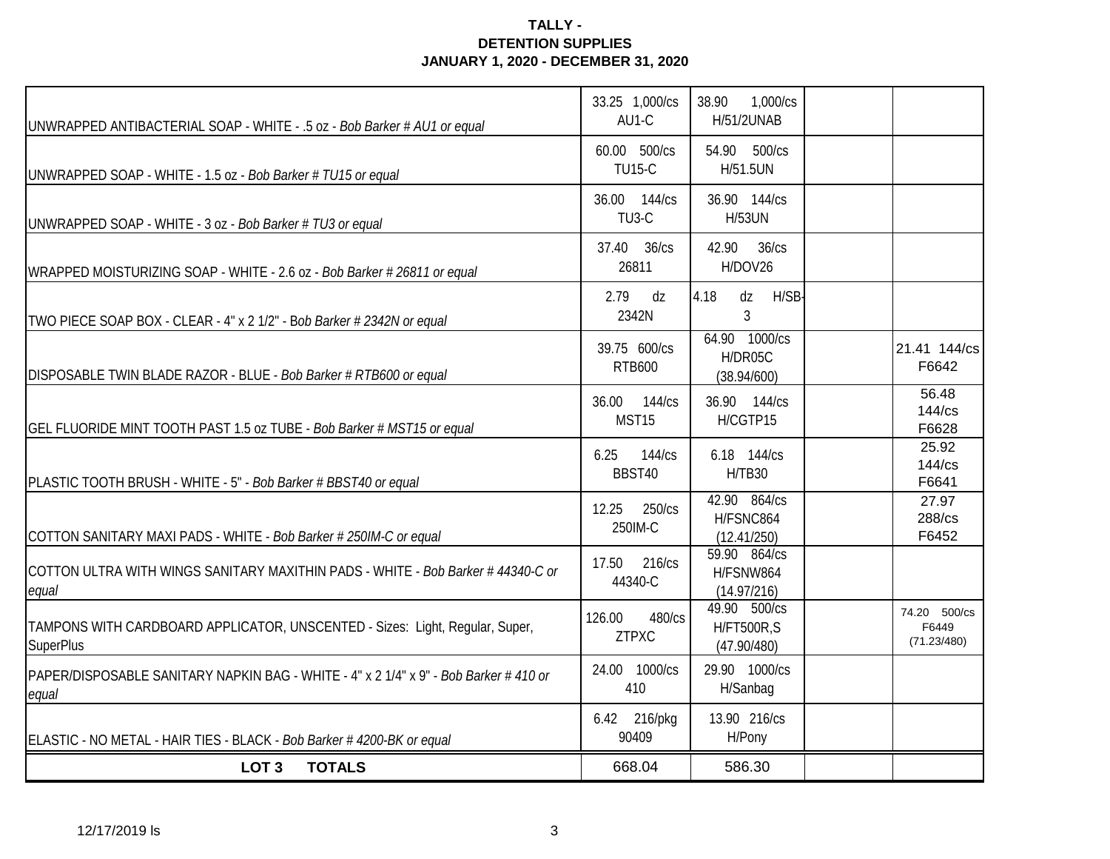| UNWRAPPED ANTIBACTERIAL SOAP - WHITE - .5 oz - Bob Barker # AU1 or equal                         | 33.25 1,000/cs<br>AU1-C            | 38.90<br>1,000/cs<br><b>H/51/2UNAB</b>           |                                      |
|--------------------------------------------------------------------------------------------------|------------------------------------|--------------------------------------------------|--------------------------------------|
| UNWRAPPED SOAP - WHITE - 1.5 oz - Bob Barker # TU15 or equal                                     | 60.00 500/cs<br><b>TU15-C</b>      | 54.90 500/cs<br>H/51.5UN                         |                                      |
| UNWRAPPED SOAP - WHITE - 3 oz - Bob Barker # TU3 or equal                                        | 36.00 144/cs<br>TU <sub>3</sub> -C | 36.90 144/cs<br><b>H/53UN</b>                    |                                      |
| WRAPPED MOISTURIZING SOAP - WHITE - 2.6 oz - Bob Barker # 26811 or equal                         | 37.40 36/cs<br>26811               | 42.90<br>36/cs<br>H/DOV26                        |                                      |
| TWO PIECE SOAP BOX - CLEAR - 4" x 2 1/2" - Bob Barker # 2342N or equal                           | 2.79<br>dz<br>2342N                | 4.18<br>dz<br>H/SB-<br>3                         |                                      |
| DISPOSABLE TWIN BLADE RAZOR - BLUE - Bob Barker # RTB600 or equal                                | 39.75 600/cs<br><b>RTB600</b>      | 64.90 1000/cs<br>H/DR05C<br>(38.94/600)          | 21.41 144/cs<br>F6642                |
| GEL FLUORIDE MINT TOOTH PAST 1.5 oz TUBE - Bob Barker # MST15 or equal                           | 36.00 144/cs<br>MST15              | 36.90 144/cs<br>H/CGTP15                         | 56.48<br>$144$ / $cs$<br>F6628       |
| PLASTIC TOOTH BRUSH - WHITE - 5" - Bob Barker # BBST40 or equal                                  | 144/cs<br>6.25<br>BBST40           | 6.18 144/cs<br><b>H/TB30</b>                     | 25.92<br>$144$ / $cs$<br>F6641       |
| COTTON SANITARY MAXI PADS - WHITE - Bob Barker # 250IM-C or equal                                | 250/cs<br>12.25<br>250IM-C         | 42.90 864/cs<br>H/FSNC864<br>(12.41/250)         | 27.97<br>288/cs<br>F6452             |
| COTTON ULTRA WITH WINGS SANITARY MAXITHIN PADS - WHITE - Bob Barker #44340-C or<br>equal         | 17.50 216/cs<br>44340-C            | 59.90 864/cs<br>H/FSNW864<br>(14.97/216)         |                                      |
| TAMPONS WITH CARDBOARD APPLICATOR, UNSCENTED - Sizes: Light, Regular, Super,<br><b>SuperPlus</b> | 480/cs<br>126.00<br><b>ZTPXC</b>   | 49.90 500/cs<br><b>H/FT500R,S</b><br>(47.90/480) | 74.20 500/cs<br>F6449<br>(71.23/480) |
| PAPER/DISPOSABLE SANITARY NAPKIN BAG - WHITE - 4" x 2 1/4" x 9" - Bob Barker # 410 or<br>equal   | 24.00 1000/cs<br>410               | 29.90 1000/cs<br>H/Sanbag                        |                                      |
| ELASTIC - NO METAL - HAIR TIES - BLACK - Bob Barker #4200-BK or equal                            | 6.42 216/pkg<br>90409              | 13.90 216/cs<br>H/Pony                           |                                      |
| <b>TOTALS</b><br>LOT <sub>3</sub>                                                                | 668.04                             | 586.30                                           |                                      |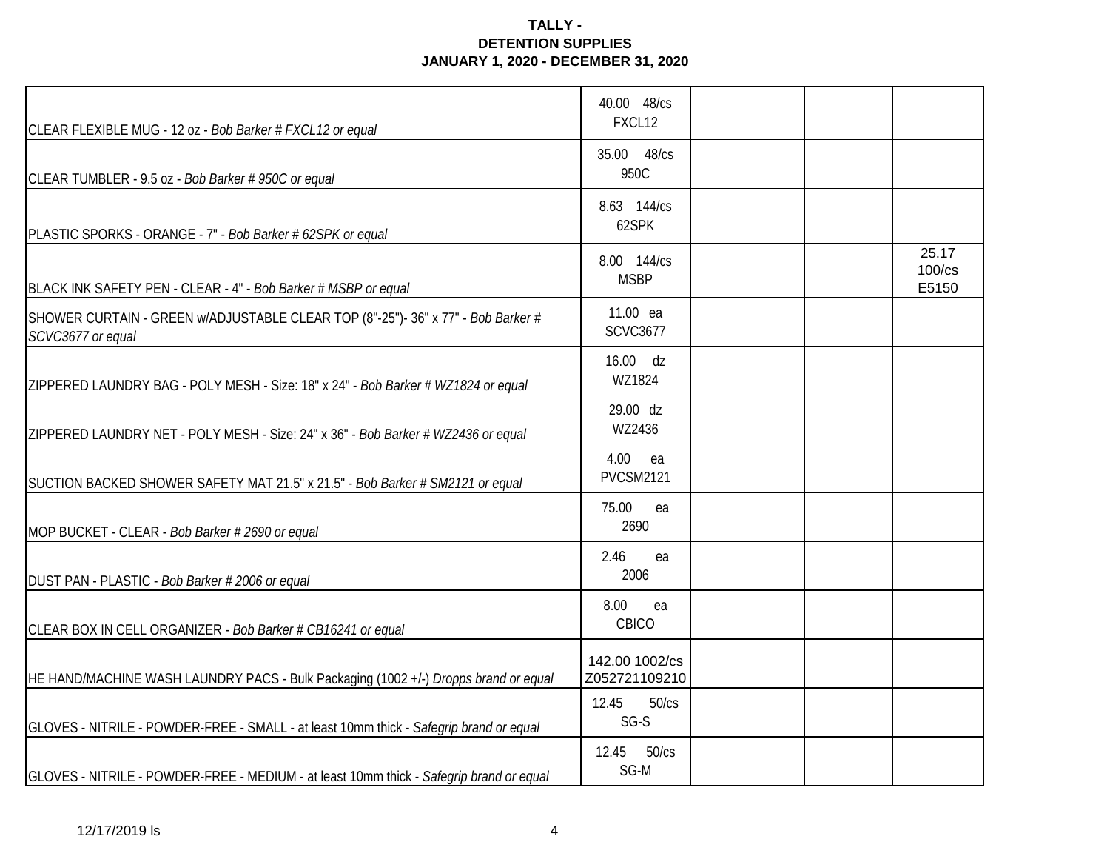| CLEAR FLEXIBLE MUG - 12 oz - Bob Barker # FXCL12 or equal                                             | 40.00 48/cs<br>FXCL12           |  |                                |
|-------------------------------------------------------------------------------------------------------|---------------------------------|--|--------------------------------|
| CLEAR TUMBLER - 9.5 oz - Bob Barker # 950C or equal                                                   | 35.00 48/cs<br>950C             |  |                                |
| PLASTIC SPORKS - ORANGE - 7" - Bob Barker # 62SPK or equal                                            | 8.63 144/cs<br>62SPK            |  |                                |
| BLACK INK SAFETY PEN - CLEAR - 4" - Bob Barker # MSBP or equal                                        | 8.00 144/cs<br><b>MSBP</b>      |  | 25.17<br>$100$ / $cs$<br>E5150 |
| SHOWER CURTAIN - GREEN w/ADJUSTABLE CLEAR TOP (8"-25")- 36" x 77" - Bob Barker #<br>SCVC3677 or equal | 11.00 ea<br><b>SCVC3677</b>     |  |                                |
| ZIPPERED LAUNDRY BAG - POLY MESH - Size: 18" x 24" - Bob Barker # WZ1824 or equal                     | 16.00 dz<br>WZ1824              |  |                                |
| ZIPPERED LAUNDRY NET - POLY MESH - Size: 24" x 36" - Bob Barker # WZ2436 or equal                     | 29.00 dz<br>WZ2436              |  |                                |
| SUCTION BACKED SHOWER SAFETY MAT 21.5" x 21.5" - Bob Barker # SM2121 or equal                         | 4.00<br>ea<br><b>PVCSM2121</b>  |  |                                |
| MOP BUCKET - CLEAR - Bob Barker # 2690 or equal                                                       | 75.00<br>ea<br>2690             |  |                                |
| DUST PAN - PLASTIC - Bob Barker # 2006 or equal                                                       | 2.46<br>ea<br>2006              |  |                                |
| CLEAR BOX IN CELL ORGANIZER - Bob Barker # CB16241 or equal                                           | 8.00<br>ea<br>CBICO             |  |                                |
| HE HAND/MACHINE WASH LAUNDRY PACS - Bulk Packaging (1002 +/-) Dropps brand or equal                   | 142.00 1002/cs<br>Z052721109210 |  |                                |
| GLOVES - NITRILE - POWDER-FREE - SMALL - at least 10mm thick - Safegrip brand or equal                | 12.45<br>50/cs<br>SG-S          |  |                                |
| GLOVES - NITRILE - POWDER-FREE - MEDIUM - at least 10mm thick - Safegrip brand or equal               | 12.45<br>50/cs<br>SG-M          |  |                                |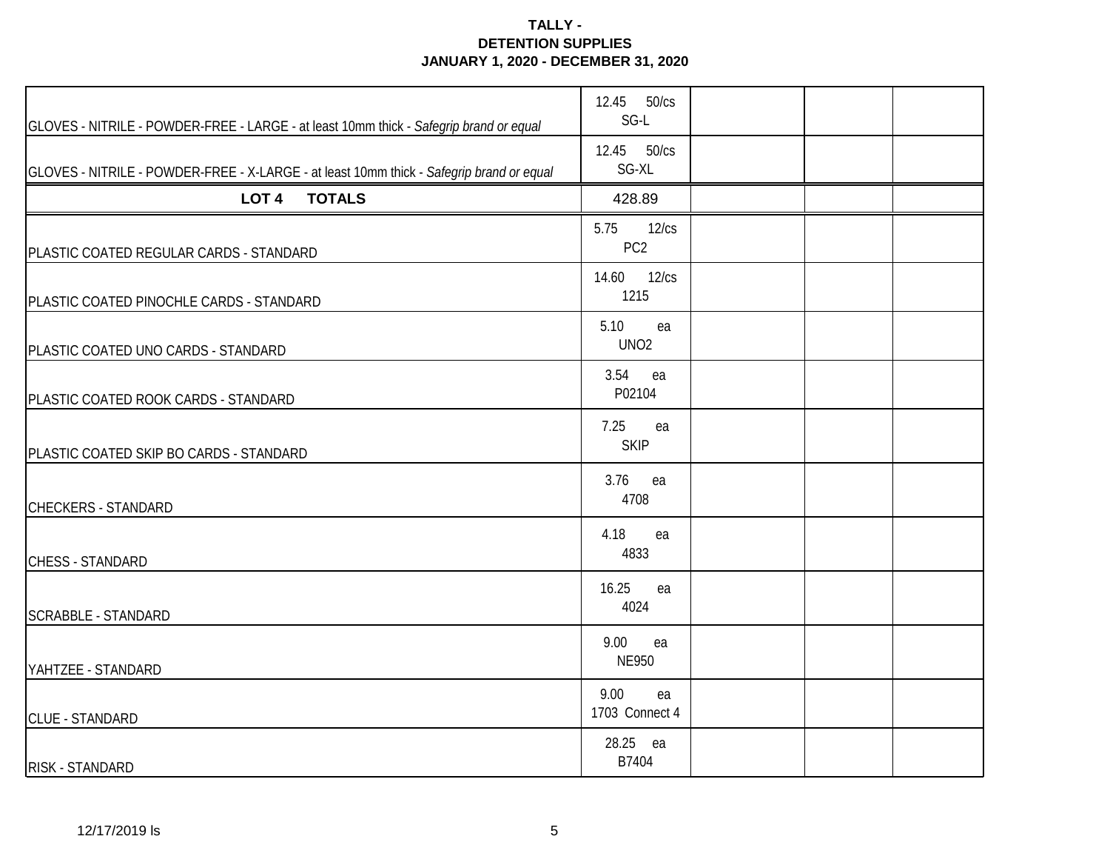| GLOVES - NITRILE - POWDER-FREE - LARGE - at least 10mm thick - Safegrip brand or equal   | 12.45 50/cs<br>SG-L              |  |  |
|------------------------------------------------------------------------------------------|----------------------------------|--|--|
| GLOVES - NITRILE - POWDER-FREE - X-LARGE - at least 10mm thick - Safegrip brand or equal | 12.45 50/cs<br>SG-XL             |  |  |
| LOT <sub>4</sub><br><b>TOTALS</b>                                                        | 428.89                           |  |  |
| PLASTIC COATED REGULAR CARDS - STANDARD                                                  | 12/cs<br>5.75<br>PC <sub>2</sub> |  |  |
| PLASTIC COATED PINOCHLE CARDS - STANDARD                                                 | 14.60<br>12/cs<br>1215           |  |  |
| PLASTIC COATED UNO CARDS - STANDARD                                                      | 5.10<br>ea<br>UNO <sub>2</sub>   |  |  |
| PLASTIC COATED ROOK CARDS - STANDARD                                                     | 3.54<br>ea<br>P02104             |  |  |
| PLASTIC COATED SKIP BO CARDS - STANDARD                                                  | 7.25<br>ea<br><b>SKIP</b>        |  |  |
| <b>CHECKERS - STANDARD</b>                                                               | 3.76<br>ea<br>4708               |  |  |
| <b>CHESS - STANDARD</b>                                                                  | 4.18<br>ea<br>4833               |  |  |
| <b>SCRABBLE - STANDARD</b>                                                               | 16.25<br>ea<br>4024              |  |  |
| YAHTZEE - STANDARD                                                                       | 9.00<br>ea<br><b>NE950</b>       |  |  |
| <b>CLUE - STANDARD</b>                                                                   | 9.00<br>ea<br>1703 Connect 4     |  |  |
| RISK - STANDARD                                                                          | 28.25 ea<br>B7404                |  |  |